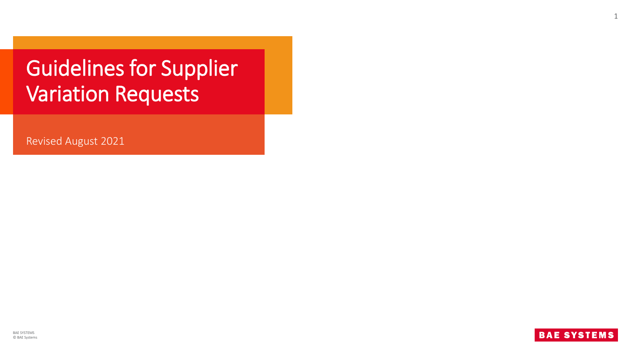# Guidelines for Supplier Variation Requests

Revised August 2021





1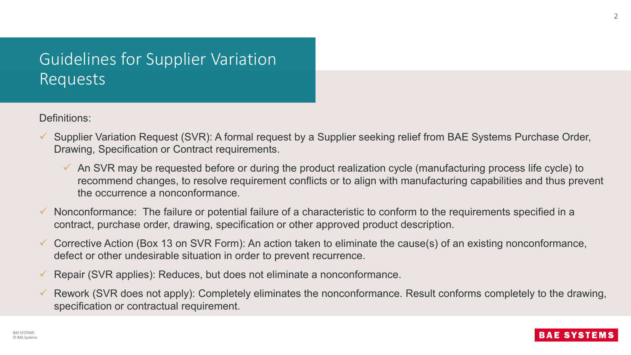## Guidelines for Supplier Variation Requests

Definitions:

- $\checkmark$  Supplier Variation Request (SVR): A formal request by a Supplier seeking relief from BAE Systems Purchase Order, Drawing, Specification or Contract requirements.
	- $\checkmark$  An SVR may be requested before or during the product realization cycle (manufacturing process life cycle) to recommend changes, to resolve requirement conflicts or to align with manufacturing capabilities and thus prevent the occurrence a nonconformance.
- $\checkmark$  Nonconformance: The failure or potential failure of a characteristic to conform to the requirements specified in a contract, purchase order, drawing, specification or other approved product description.
- $\checkmark$  Corrective Action (Box 13 on SVR Form): An action taken to eliminate the cause(s) of an existing nonconformance, defect or other undesirable situation in order to prevent recurrence.
- $\checkmark$  Repair (SVR applies): Reduces, but does not eliminate a nonconformance.
- Rework (SVR does not apply): Completely eliminates the nonconformance. Result conforms completely to the drawing, specification or contractual requirement.

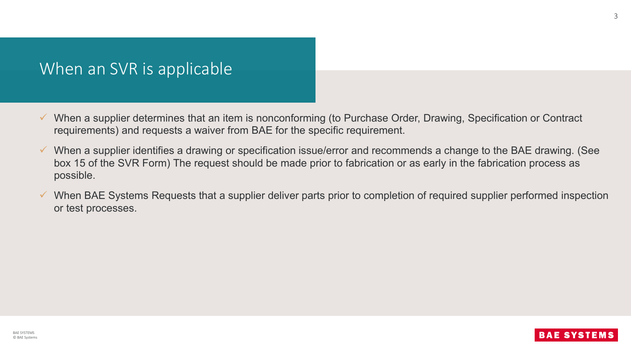### When an SVR is applicable

- $\checkmark$  When a supplier determines that an item is nonconforming (to Purchase Order, Drawing, Specification or Contract requirements) and requests a waiver from BAE for the specific requirement.
- $\checkmark$  When a supplier identifies a drawing or specification issue/error and recommends a change to the BAE drawing. (See box 15 of the SVR Form) The request should be made prior to fabrication or as early in the fabrication process as possible.
- $\checkmark$  When BAE Systems Requests that a supplier deliver parts prior to completion of required supplier performed inspection or test processes.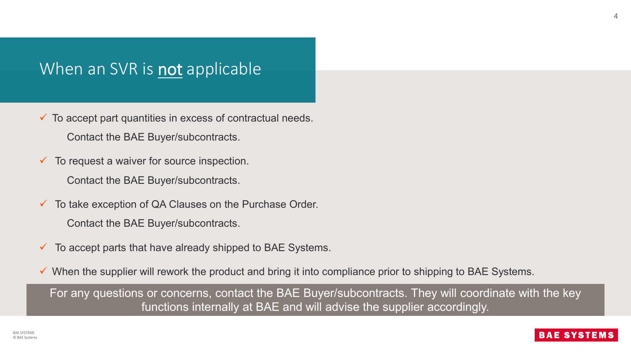## When an SVR is **not** applicable

- $\checkmark$  To accept part quantities in excess of contractual needs. Contact the BAE Buyer/subcontracts.
- $\checkmark$  To request a waiver for source inspection.
	- Contact the BAE Buyer/subcontracts.
- $\checkmark$  To take exception of QA Clauses on the Purchase Order. Contact the BAE Buyer/subcontracts.
- $\checkmark$  To accept parts that have already shipped to BAE Systems.
- $\checkmark$  When the supplier will rework the product and bring it into compliance prior to shipping to BAE Systems.

For any questions or concerns, contact the BAE Buyer/subcontracts. They will coordinate with the key functions internally at BAE and will advise the supplier accordingly.

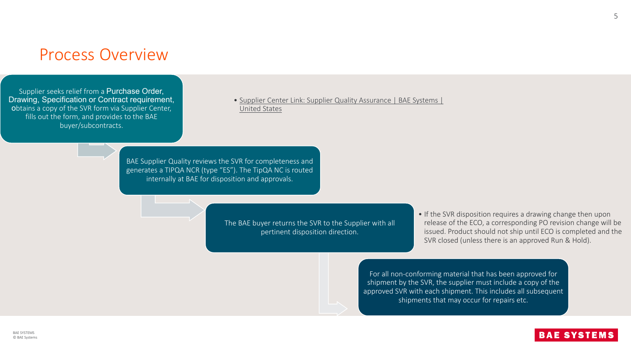#### Process Overview

Supplier seeks relief from a Purchase Order, Drawing, Specification or Contract requirement, obtains a copy of the SVR form via Supplier Center, fills out the form, and provides to the BAE buyer/subcontracts.

• [Supplier Center Link: Supplier Quality Assurance | BAE Systems |](https://www.baesystems.com/en-us/our-company/inc-businesses/electronic-systems/supplier-center/supplier-quality-assurance)  United States

BAE Supplier Quality reviews the SVR for completeness and generates a TIPQA NCR (type "ES"). The TipQA NC is routed internally at BAE for disposition and approvals.

> The BAE buyer returns the SVR to the Supplier with all pertinent disposition direction.

• If the SVR disposition requires a drawing change then upon release of the ECO, a corresponding PO revision change will be issued. Product should not ship until ECO is completed and the SVR closed (unless there is an approved Run & Hold).

For all non-conforming material that has been approved for shipment by the SVR, the supplier must include a copy of the approved SVR with each shipment. This includes all subsequent shipments that may occur for repairs etc.



5